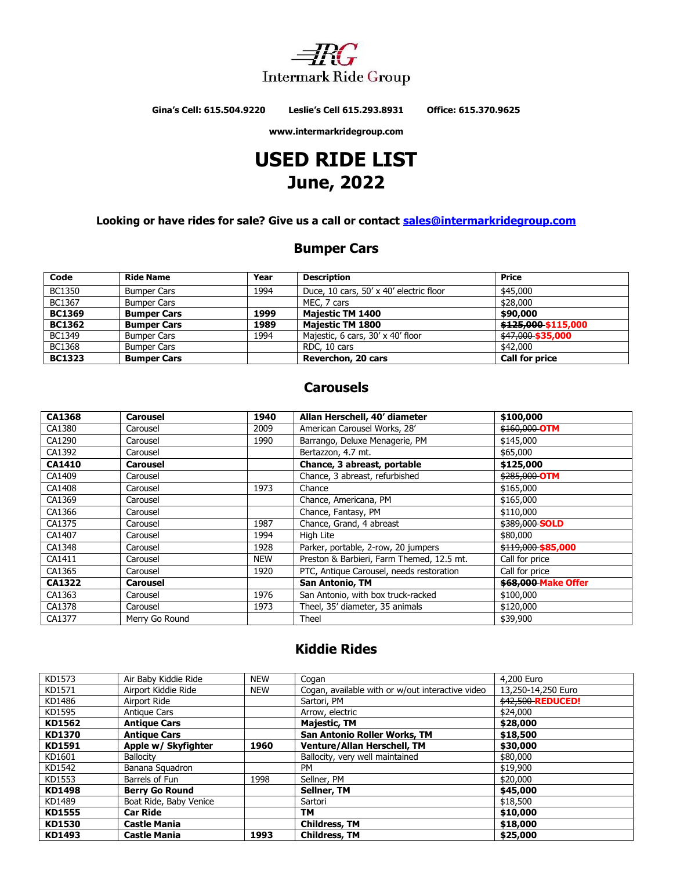

**Gina's Cell: 615.504.9220 Leslie's Cell 615.293.8931 Office: 615.370.9625**

**www.intermarkridegroup.com**

# **USED RIDE LIST June, 2022**

**Looking or have rides for sale? Give us a call or contact [sales@intermarkridegroup.com](mailto:sales@intermarkridegroup.com)**

### **Bumper Cars**

| Code          | <b>Ride Name</b>   | Year | <b>Description</b>                      | Price                 |
|---------------|--------------------|------|-----------------------------------------|-----------------------|
| <b>BC1350</b> | <b>Bumper Cars</b> | 1994 | Duce, 10 cars, 50' x 40' electric floor | \$45,000              |
| BC1367        | <b>Bumper Cars</b> |      | MEC, 7 cars                             | \$28,000              |
| <b>BC1369</b> | <b>Bumper Cars</b> | 1999 | <b>Majestic TM 1400</b>                 | \$90,000              |
| <b>BC1362</b> | <b>Bumper Cars</b> | 1989 | <b>Majestic TM 1800</b>                 | \$125,000 \$115,000   |
| BC1349        | <b>Bumper Cars</b> | 1994 | Majestic, 6 cars, 30' x 40' floor       | \$47,000 \$35,000     |
| <b>BC1368</b> | <b>Bumper Cars</b> |      | RDC, 10 cars                            | \$42,000              |
| <b>BC1323</b> | <b>Bumper Cars</b> |      | Reverchon, 20 cars                      | <b>Call for price</b> |

### **Carousels**

| <b>CA1368</b> | <b>Carousel</b> | 1940       | Allan Herschell, 40' diameter             | \$100,000                  |
|---------------|-----------------|------------|-------------------------------------------|----------------------------|
| CA1380        | Carousel        | 2009       | American Carousel Works, 28'              | \$160,000 OTM              |
| CA1290        | Carousel        | 1990       | Barrango, Deluxe Menagerie, PM            | \$145,000                  |
| CA1392        | Carousel        |            | Bertazzon, 4.7 mt.                        | \$65,000                   |
| <b>CA1410</b> | <b>Carousel</b> |            | Chance, 3 abreast, portable               | \$125,000                  |
| CA1409        | Carousel        |            | Chance, 3 abreast, refurbished            | \$285,000 OTM              |
| CA1408        | Carousel        | 1973       | Chance                                    | \$165,000                  |
| CA1369        | Carousel        |            | Chance, Americana, PM                     | \$165,000                  |
| CA1366        | Carousel        |            | Chance, Fantasy, PM                       | \$110,000                  |
| CA1375        | Carousel        | 1987       | Chance, Grand, 4 abreast                  | \$389,000 SOLD             |
| CA1407        | Carousel        | 1994       | High Lite                                 | \$80,000                   |
| CA1348        | Carousel        | 1928       | Parker, portable, 2-row, 20 jumpers       | \$119,000 \$85,000         |
| CA1411        | Carousel        | <b>NEW</b> | Preston & Barbieri, Farm Themed, 12.5 mt. | Call for price             |
| CA1365        | Carousel        | 1920       | PTC, Antique Carousel, needs restoration  | Call for price             |
| <b>CA1322</b> | <b>Carousel</b> |            | <b>San Antonio, TM</b>                    | <b>\$68,000 Make Offer</b> |
| CA1363        | Carousel        | 1976       | San Antonio, with box truck-racked        | \$100,000                  |
| CA1378        | Carousel        | 1973       | Theel, 35' diameter, 35 animals           | \$120,000                  |
| CA1377        | Merry Go Round  |            | Theel                                     | \$39,900                   |

### **Kiddie Rides**

| KD1573        | Air Baby Kiddie Ride   | <b>NEW</b> | Cogan                                            | 4,200 Euro               |
|---------------|------------------------|------------|--------------------------------------------------|--------------------------|
| KD1571        | Airport Kiddie Ride    | <b>NEW</b> | Cogan, available with or w/out interactive video | 13.250-14.250 Euro       |
| KD1486        | Airport Ride           |            | Sartori, PM                                      | <b>\$42,500 REDUCED!</b> |
| KD1595        | Antique Cars           |            | Arrow, electric                                  | \$24,000                 |
| KD1562        | <b>Antique Cars</b>    |            | <b>Majestic, TM</b>                              | \$28,000                 |
| KD1370        | <b>Antique Cars</b>    |            | <b>San Antonio Roller Works, TM</b>              | \$18,500                 |
| KD1591        | Apple w/ Skyfighter    | 1960       | <b>Venture/Allan Herschell, TM</b>               | \$30,000                 |
| KD1601        | <b>Ballocity</b>       |            | Ballocity, very well maintained                  | \$80,000                 |
| KD1542        | Banana Squadron        |            | PM                                               | \$19,900                 |
| KD1553        | Barrels of Fun         | 1998       | Sellner, PM                                      | \$20,000                 |
| <b>KD1498</b> | <b>Berry Go Round</b>  |            | Sellner, TM                                      | \$45,000                 |
| KD1489        | Boat Ride, Baby Venice |            | Sartori                                          | \$18,500                 |
| <b>KD1555</b> | <b>Car Ride</b>        |            | TM                                               | \$10,000                 |
| KD1530        | <b>Castle Mania</b>    |            | <b>Childress, TM</b>                             | \$18,000                 |
| KD1493        | <b>Castle Mania</b>    | 1993       | <b>Childress, TM</b>                             | \$25,000                 |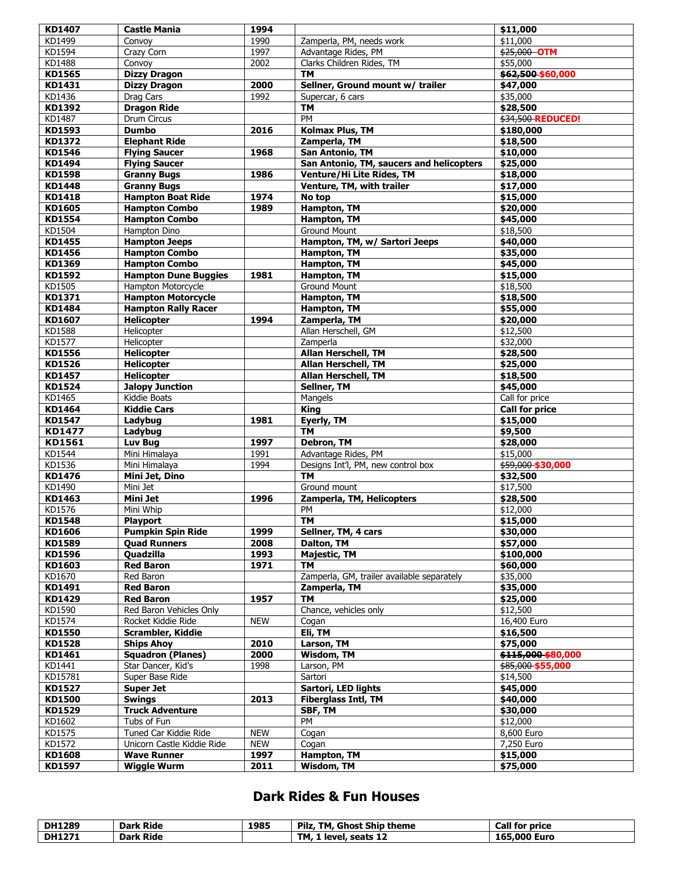| KD1407                  | <b>Castle Mania</b>                      | 1994         |                                            | \$11,000              |
|-------------------------|------------------------------------------|--------------|--------------------------------------------|-----------------------|
| KD1499                  | Convoy                                   | 1990         | Zamperla, PM, needs work                   | \$11,000              |
| KD1594                  | Crazy Corn                               | 1997         | Advantage Rides, PM                        | \$25,000 OTM          |
| KD1488                  | Convoy                                   | 2002         | Clarks Children Rides, TM                  | \$55,000              |
| KD1565                  | <b>Dizzy Dragon</b>                      |              | TМ                                         | \$62,500 \$60,000     |
| KD1431                  | <b>Dizzy Dragon</b>                      | 2000         | Sellner, Ground mount w/ trailer           | \$47,000              |
| KD1436                  | Drag Cars                                | 1992         | Supercar, 6 cars                           | \$35,000              |
| KD1392                  | <b>Dragon Ride</b>                       |              | <b>TM</b>                                  | \$28,500              |
| KD1487                  | Drum Circus                              |              | PM                                         | \$34,500 REDUCED!     |
| KD1593                  | <b>Dumbo</b>                             | 2016         | Kolmax Plus, TM                            | \$180,000             |
|                         |                                          |              |                                            |                       |
| KD1372<br>KD1546        | <b>Elephant Ride</b>                     | 1968         | Zamperla, TM                               | \$18,500              |
|                         | <b>Flying Saucer</b>                     |              | <b>San Antonio, TM</b>                     | \$10,000              |
| KD1494                  | <b>Flying Saucer</b>                     |              | San Antonio, TM, saucers and helicopters   | \$25,000              |
| KD1598                  | <b>Granny Bugs</b>                       | 1986         | Venture/Hi Lite Rides, TM                  | \$18,000              |
| <b>KD1448</b>           | <b>Granny Bugs</b>                       |              | Venture, TM, with trailer                  | \$17,000              |
| <b>KD1418</b>           | <b>Hampton Boat Ride</b>                 | 1974         | No top                                     | \$15,000              |
| KD1605                  | <b>Hampton Combo</b>                     | 1989         | <b>Hampton, TM</b>                         | \$20,000              |
| <b>KD1554</b>           | <b>Hampton Combo</b>                     |              | Hampton, TM                                | \$45,000              |
| KD1504                  | Hampton Dino                             |              | <b>Ground Mount</b>                        | \$18,500              |
| KD1455                  | <b>Hampton Jeeps</b>                     |              | Hampton, TM, w/ Sartori Jeeps              | \$40,000              |
| KD1456                  | <b>Hampton Combo</b>                     |              | Hampton, TM                                | \$35,000              |
| KD1369                  | <b>Hampton Combo</b>                     |              | <b>Hampton, TM</b>                         | \$45,000              |
| KD1592                  | <b>Hampton Dune Buggies</b>              | 1981         | Hampton, TM                                | \$15,000              |
| KD1505                  | Hampton Motorcycle                       |              | <b>Ground Mount</b>                        | \$18,500              |
| KD1371                  | <b>Hampton Motorcycle</b>                |              | Hampton, TM                                | \$18,500              |
| KD1484                  | <b>Hampton Rally Racer</b>               |              | Hampton, TM                                | \$55,000              |
| <b>KD1607</b>           | <b>Helicopter</b>                        | 1994         | Zamperla, TM                               | \$20,000              |
| KD1588                  | Helicopter                               |              | Allan Herschell, GM                        | \$12,500              |
| KD1577                  | Helicopter                               |              | Zamperla                                   | \$32,000              |
| KD1556                  | <b>Helicopter</b>                        |              | Allan Herschell, TM                        | \$28,500              |
| KD1526                  | <b>Helicopter</b>                        |              | Allan Herschell, TM                        | \$25,000              |
| <b>KD1457</b>           | <b>Helicopter</b>                        |              | <b>Allan Herschell, TM</b>                 | \$18,500              |
| KD1524                  | <b>Jalopy Junction</b>                   |              | Sellner, TM                                | \$45,000              |
| KD1465                  | Kiddie Boats                             |              | Mangels                                    | Call for price        |
| KD1464                  | <b>Kiddie Cars</b>                       |              | <b>King</b>                                | <b>Call for price</b> |
|                         |                                          |              |                                            |                       |
|                         |                                          |              |                                            |                       |
| KD1547                  | Ladybug                                  | 1981         | Eyerly, TM                                 | \$15,000              |
| KD1477                  | Ladybug                                  |              | <b>TM</b>                                  | \$9,500               |
| KD1561                  | Luv Bug                                  | 1997         | <b>Debron, TM</b>                          | \$28,000              |
| KD1544                  | Mini Himalaya                            | 1991         | Advantage Rides, PM                        | \$15,000              |
| KD1536                  | Mini Himalaya                            | 1994         | Designs Int'l, PM, new control box         | \$59,000 \$30,000     |
| KD1476                  | Mini Jet, Dino                           |              | <b>TM</b>                                  | \$32,500              |
| KD1490                  | Mini Jet                                 |              | Ground mount                               | \$17,500              |
| KD1463                  | Mini Jet                                 | 1996         | Zamperla, TM, Helicopters                  | \$28,500              |
| KD1576                  | Mini Whip                                |              | PM                                         | \$12,000              |
| KD1548                  | Playport                                 |              | TМ                                         | \$15,000              |
| KD1606                  | <b>Pumpkin Spin Ride</b>                 | 1999         | Sellner, TM, 4 cars                        | \$30,000              |
| <b>KD1589</b>           | <b>Quad Runners</b>                      | 2008         | Dalton, TM                                 | \$57,000              |
| KD1596                  | <b>Quadzilla</b>                         | 1993         | <b>Majestic, TM</b>                        | \$100,000             |
| KD1603                  | <b>Red Baron</b>                         | 1971         | <b>TM</b>                                  | \$60,000              |
| KD1670                  | Red Baron                                |              | Zamperla, GM, trailer available separately | \$35,000              |
| KD1491                  | <b>Red Baron</b>                         |              | Zamperla, TM                               | \$35,000              |
| KD1429                  | <b>Red Baron</b>                         | 1957         | <b>TM</b>                                  | \$25,000              |
| KD1590                  | Red Baron Vehicles Only                  |              | Chance, vehicles only                      | \$12,500              |
| KD1574                  | Rocket Kiddie Ride                       | <b>NEW</b>   | Cogan                                      | 16,400 Euro           |
| KD1550                  | Scrambler, Kiddie                        |              | Eli, TM                                    | \$16,500              |
| <b>KD1528</b>           | <b>Ships Ahoy</b>                        | 2010         | Larson, TM                                 | \$75,000              |
| KD1461                  | <b>Squadron (Planes)</b>                 | 2000         | Wisdom, TM                                 | \$115,000 \$80,000    |
| KD1441                  | Star Dancer, Kid's                       | 1998         | Larson, PM                                 | \$85,000 \$55,000     |
| KD15781                 | Super Base Ride                          |              | Sartori                                    | \$14,500              |
|                         | <b>Super Jet</b>                         |              |                                            |                       |
| KD1527                  |                                          |              | Sartori, LED lights                        | \$45,000              |
| KD1500                  | <b>Swings</b>                            | 2013         | <b>Fiberglass Intl, TM</b>                 | \$40,000              |
| KD1529                  | <b>Truck Adventure</b>                   |              | SBF, TM                                    | \$30,000              |
| KD1602                  | Tubs of Fun                              |              | PM                                         | \$12,000              |
| KD1575                  | Tuned Car Kiddie Ride                    | <b>NEW</b>   | Cogan                                      | 8,600 Euro            |
| KD1572                  | Unicorn Castle Kiddie Ride               | <b>NEW</b>   | Cogan                                      | 7,250 Euro            |
| <b>KD1608</b><br>KD1597 | <b>Wave Runner</b><br><b>Wiggle Wurm</b> | 1997<br>2011 | Hampton, TM<br>Wisdom, TM                  | \$15,000<br>\$75,000  |

### **Dark Rides & Fun Houses**

| <b>DH1289</b> | <b>Dark Ride</b> | 1985 | Pilz,<br>TM, Ghost Ship theme | <b>Call for price</b> |
|---------------|------------------|------|-------------------------------|-----------------------|
| <b>DH1271</b> | <b>Dark Ride</b> |      | 1 level, seats 12<br>TM.      | 165,000 Euro          |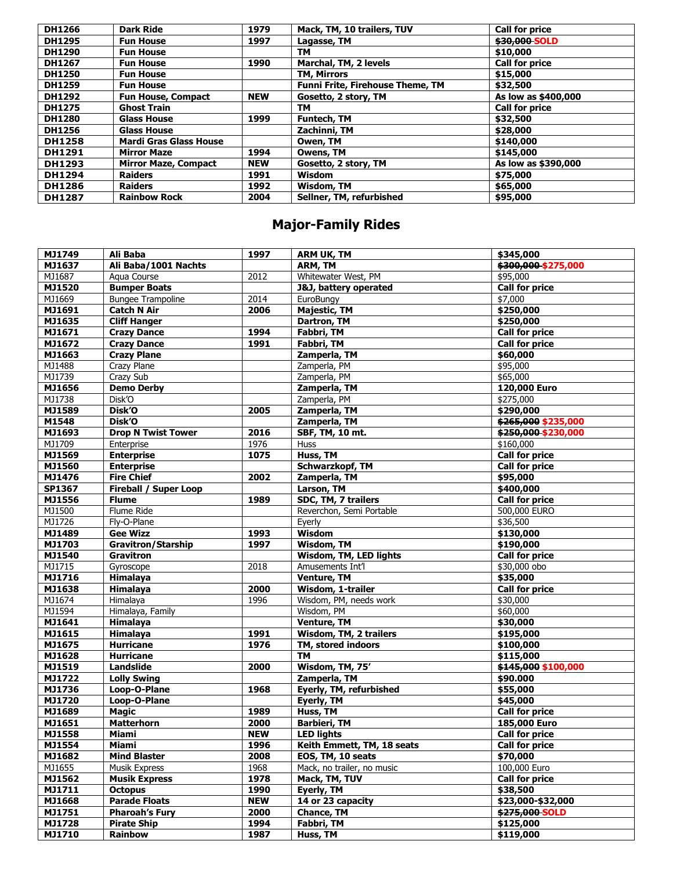| <b>DH1266</b> | <b>Dark Ride</b>              | 1979       | Mack, TM, 10 trailers, TUV              | <b>Call for price</b> |
|---------------|-------------------------------|------------|-----------------------------------------|-----------------------|
| <b>DH1295</b> | <b>Fun House</b>              | 1997       | Lagasse, TM                             | \$30,000 SOLD         |
| <b>DH1290</b> | <b>Fun House</b>              |            | TМ                                      | \$10,000              |
| <b>DH1267</b> | <b>Fun House</b>              | 1990       | Marchal, TM, 2 levels                   | <b>Call for price</b> |
| <b>DH1250</b> | <b>Fun House</b>              |            | <b>TM, Mirrors</b>                      | \$15,000              |
| <b>DH1259</b> | <b>Fun House</b>              |            | <b>Funni Frite, Firehouse Theme, TM</b> | \$32,500              |
| <b>DH1292</b> | <b>Fun House, Compact</b>     | <b>NEW</b> | Gosetto, 2 story, TM                    | As low as \$400,000   |
| <b>DH1275</b> | <b>Ghost Train</b>            |            | TΜ                                      | <b>Call for price</b> |
| <b>DH1280</b> | <b>Glass House</b>            | 1999       | <b>Funtech, TM</b>                      | \$32,500              |
| <b>DH1256</b> | <b>Glass House</b>            |            | Zachinni, TM                            | \$28,000              |
| <b>DH1258</b> | <b>Mardi Gras Glass House</b> |            | Owen, TM                                | \$140,000             |
| <b>DH1291</b> | <b>Mirror Maze</b>            | 1994       | Owens, TM                               | \$145,000             |
| <b>DH1293</b> | <b>Mirror Maze, Compact</b>   | <b>NEW</b> | Gosetto, 2 story, TM                    | As low as \$390,000   |
| <b>DH1294</b> | <b>Raiders</b>                | 1991       | <b>Wisdom</b>                           | \$75,000              |
| <b>DH1286</b> | <b>Raiders</b>                | 1992       | Wisdom, TM                              | \$65,000              |
| <b>DH1287</b> | <b>Rainbow Rock</b>           | 2004       | Sellner, TM, refurbished                | \$95,000              |

# **Major-Family Rides**

| MJ1749 | Ali Baba                  | 1997       | <b>ARM UK, TM</b>                 | \$345,000             |
|--------|---------------------------|------------|-----------------------------------|-----------------------|
| MJ1637 | Ali Baba/1001 Nachts      |            | ARM, TM                           | \$300,000 \$275,000   |
| MJ1687 | Agua Course               | 2012       | Whitewater West, PM               | \$95,000              |
| MJ1520 | <b>Bumper Boats</b>       |            | <b>J&amp;J</b> , battery operated | <b>Call for price</b> |
| MJ1669 | <b>Bungee Trampoline</b>  | 2014       | EuroBungy                         | \$7,000               |
| MJ1691 | <b>Catch N Air</b>        | 2006       | <b>Majestic, TM</b>               | \$250,000             |
| MJ1635 | <b>Cliff Hanger</b>       |            | Dartron, TM                       | \$250,000             |
| MJ1671 | <b>Crazy Dance</b>        | 1994       | Fabbri, TM                        | <b>Call for price</b> |
| MJ1672 | <b>Crazy Dance</b>        | 1991       | Fabbri, TM                        | <b>Call for price</b> |
| MJ1663 | <b>Crazy Plane</b>        |            | Zamperla, TM                      | \$60,000              |
| MJ1488 | Crazy Plane               |            | Zamperla, PM                      | \$95,000              |
| MJ1739 | <b>Crazy Sub</b>          |            | Zamperla, PM                      | \$65,000              |
| MJ1656 | <b>Demo Derby</b>         |            | Zamperla, TM                      | 120,000 Euro          |
| MJ1738 | Disk <sup>'O</sup>        |            | Zamperla, PM                      | \$275,000             |
| MJ1589 | Disk'O                    | 2005       | Zamperla, TM                      | \$290,000             |
| M1548  | Disk'O                    |            | Zamperla, TM                      | \$265,000 \$235,000   |
| MJ1693 | <b>Drop N Twist Tower</b> | 2016       | SBF, TM, 10 mt.                   | \$250,000 \$230,000   |
| MJ1709 | Enterprise                | 1976       | <b>Huss</b>                       | \$160,000             |
| MJ1569 | <b>Enterprise</b>         | 1075       | Huss, TM                          | <b>Call for price</b> |
| MJ1560 | <b>Enterprise</b>         |            | Schwarzkopf, TM                   | <b>Call for price</b> |
| MJ1476 | <b>Fire Chief</b>         | 2002       | Zamperla, TM                      | \$95,000              |
| SP1367 | Fireball / Super Loop     |            | Larson, TM                        | \$400,000             |
| MJ1556 | <b>Flume</b>              | 1989       | SDC, TM, 7 trailers               | <b>Call for price</b> |
| MJ1500 | Flume Ride                |            | Reverchon, Semi Portable          | 500,000 EURO          |
| MJ1726 | Fly-O-Plane               |            | Eyerly                            | \$36,500              |
| MJ1489 | <b>Gee Wizz</b>           | 1993       | <b>Wisdom</b>                     | \$130,000             |
| MJ1703 | <b>Gravitron/Starship</b> | 1997       | <b>Wisdom, TM</b>                 | \$190,000             |
| MJ1540 | Gravitron                 |            | Wisdom, TM, LED lights            | <b>Call for price</b> |
| MJ1715 | Gyroscope                 | 2018       | Amusements Int'l                  | \$30,000 obo          |
| MJ1716 | Himalaya                  |            | <b>Venture, TM</b>                | \$35,000              |
| MJ1638 | Himalaya                  | 2000       | Wisdom, 1-trailer                 | <b>Call for price</b> |
| MJ1674 | Himalaya                  | 1996       | Wisdom, PM, needs work            | \$30,000              |
| MJ1594 | Himalaya, Family          |            | Wisdom, PM                        | \$60,000              |
| MJ1641 | Himalaya                  |            | <b>Venture, TM</b>                | \$30,000              |
| MJ1615 | Himalaya                  | 1991       | <b>Wisdom, TM, 2 trailers</b>     | \$195,000             |
| MJ1675 | <b>Hurricane</b>          | 1976       | TM, stored indoors                | \$100,000             |
| MJ1628 | <b>Hurricane</b>          |            | <b>TM</b>                         | \$115,000             |
| MJ1519 | Landslide                 | 2000       | Wisdom, TM, 75'                   | \$145,000 \$100,000   |
| MJ1722 | <b>Lolly Swing</b>        |            | Zamperla, TM                      | \$90.000              |
| MJ1736 | Loop-O-Plane              | 1968       | Eyerly, TM, refurbished           | \$55,000              |
| MJ1720 | Loop-O-Plane              |            | Eyerly, TM                        | \$45,000              |
| MJ1689 | <b>Magic</b>              | 1989       | Huss, TM                          | <b>Call for price</b> |
| MJ1651 | <b>Matterhorn</b>         | 2000       | <b>Barbieri, TM</b>               | 185,000 Euro          |
| MJ1558 | <b>Miami</b>              | <b>NEW</b> | <b>LED lights</b>                 | <b>Call for price</b> |
| MJ1554 | Miami                     | 1996       | Keith Emmett, TM, 18 seats        | <b>Call for price</b> |
| MJ1682 | <b>Mind Blaster</b>       | 2008       | EOS, TM, 10 seats                 | \$70,000              |
| MJ1655 | Musik Express             | 1968       | Mack, no trailer, no music        | 100,000 Euro          |
| MJ1562 | <b>Musik Express</b>      | 1978       | Mack, TM, TUV                     | <b>Call for price</b> |
| MJ1711 | <b>Octopus</b>            | 1990       | Eyerly, TM                        | \$38,500              |
| MJ1668 | <b>Parade Floats</b>      | <b>NEW</b> | 14 or 23 capacity                 | \$23,000-\$32,000     |
| MJ1751 | <b>Pharoah's Fury</b>     | 2000       | <b>Chance, TM</b>                 | \$275,000-SOLD        |
| MJ1728 | <b>Pirate Ship</b>        | 1994       | Fabbri, TM                        | \$125,000             |
| MJ1710 | <b>Rainbow</b>            | 1987       | Huss, TM                          | \$119,000             |
|        |                           |            |                                   |                       |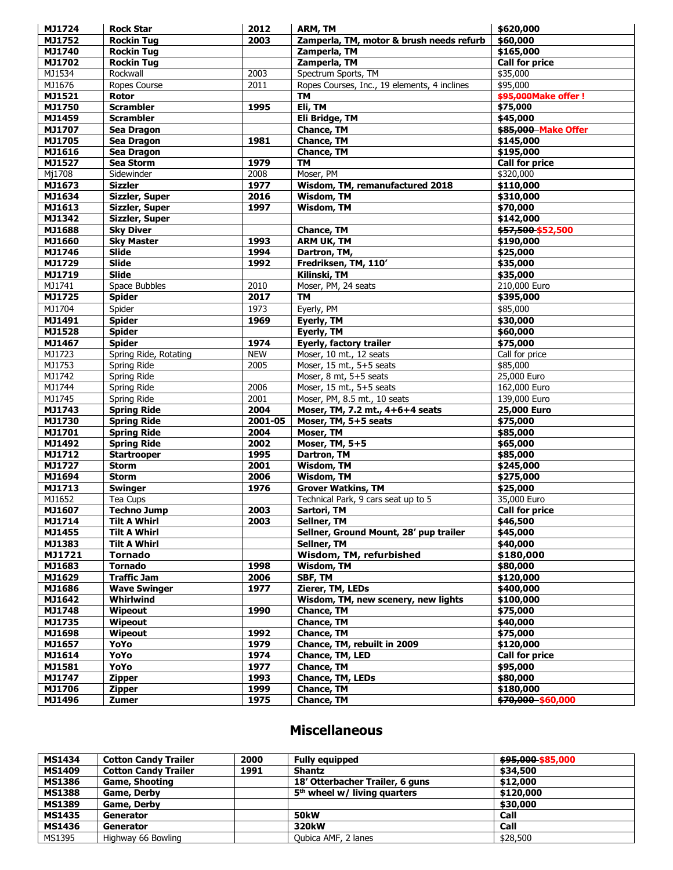| MJ1724 | <b>Rock Star</b>       | 2012       | ARM, TM                                      | \$620,000                      |
|--------|------------------------|------------|----------------------------------------------|--------------------------------|
| MJ1752 | <b>Rockin Tug</b>      | 2003       | Zamperla, TM, motor & brush needs refurb     | \$60,000                       |
| MJ1740 | <b>Rockin Tug</b>      |            | Zamperla, TM                                 | \$165,000                      |
| MJ1702 | <b>Rockin Tug</b>      |            | Zamperla, TM                                 | <b>Call for price</b>          |
| MJ1534 | Rockwall               | 2003       | Spectrum Sports, TM                          | \$35,000                       |
| MJ1676 | Ropes Course           | 2011       | Ropes Courses, Inc., 19 elements, 4 inclines | \$95,000                       |
| MJ1521 | Rotor                  |            | <b>TM</b>                                    | <b>\$95,000Make offer!</b>     |
| MJ1750 | <b>Scrambler</b>       | 1995       | Eli, TM                                      | \$75,000                       |
| MJ1459 | <b>Scrambler</b>       |            | Eli Bridge, TM                               | \$45,000                       |
| MJ1707 | Sea Dragon             |            | <b>Chance, TM</b>                            | \$85,000 Make Offer            |
| MJ1705 | Sea Dragon             | 1981       | <b>Chance, TM</b>                            | \$145,000                      |
| MJ1616 | Sea Dragon             |            | <b>Chance, TM</b>                            | \$195,000                      |
| MJ1527 | Sea Storm              | 1979       | <b>TM</b>                                    | <b>Call for price</b>          |
| Mj1708 | Sidewinder             | 2008       | Moser, PM                                    | \$320,000                      |
| MJ1673 | <b>Sizzler</b>         | 1977       | Wisdom, TM, remanufactured 2018              | \$110,000                      |
| MJ1634 | Sizzler, Super         | 2016       | Wisdom, TM                                   | \$310,000                      |
| MJ1613 | Sizzler, Super         | 1997       | <b>Wisdom, TM</b>                            | \$70,000                       |
| MJ1342 | Sizzler, Super         |            |                                              | \$142,000                      |
| MJ1688 | <b>Sky Diver</b>       |            | <b>Chance, TM</b>                            | \$57,500 \$52,500              |
| MJ1660 | <b>Sky Master</b>      | 1993       | <b>ARM UK, TM</b>                            | \$190,000                      |
| MJ1746 | <b>Slide</b>           | 1994       |                                              | \$25,000                       |
|        |                        |            | Dartron, TM,                                 |                                |
| MJ1729 | <b>Slide</b>           | 1992       | Fredriksen, TM, 110'                         | \$35,000                       |
| MJ1719 | <b>Slide</b>           |            | Kilinski, TM                                 | \$35,000                       |
| MJ1741 | Space Bubbles          | 2010       | Moser, PM, 24 seats                          | 210,000 Euro                   |
| MJ1725 | <b>Spider</b>          | 2017       | TM                                           | \$395,000                      |
| MJ1704 | Spider                 | 1973       | Eyerly, PM                                   | \$85,000                       |
| MJ1491 | <b>Spider</b>          | 1969       | Eyerly, TM                                   | \$30,000                       |
| MJ1528 | <b>Spider</b>          |            | Eyerly, TM                                   | \$60,000                       |
| MJ1467 | <b>Spider</b>          | 1974       | Eyerly, factory trailer                      | \$75,000                       |
| MJ1723 | Spring Ride, Rotating  | <b>NEW</b> | Moser, 10 mt., 12 seats                      | Call for price                 |
| MJ1753 | Spring Ride            | 2005       | Moser, 15 mt., 5+5 seats                     | \$85,000                       |
| MJ1742 | Spring Ride            |            | Moser, 8 mt, 5+5 seats                       | 25,000 Euro                    |
| MJ1744 | Spring Ride            | 2006       | Moser, 15 mt., 5+5 seats                     | 162,000 Euro                   |
| MJ1745 | Spring Ride            | 2001       | Moser, PM, 8.5 mt., 10 seats                 | 139,000 Euro                   |
| MJ1743 | <b>Spring Ride</b>     | 2004       | Moser, TM, 7.2 mt., 4+6+4 seats              | 25,000 Euro                    |
| MJ1730 | <b>Spring Ride</b>     | 2001-05    | Moser, TM, 5+5 seats                         | \$75,000                       |
| MJ1701 | <b>Spring Ride</b>     | 2004       | Moser, TM                                    | \$85,000                       |
| MJ1492 | <b>Spring Ride</b>     | 2002       | Moser, TM, 5+5                               | \$65,000                       |
| MJ1712 | <b>Startrooper</b>     | 1995       | <b>Dartron, TM</b>                           | \$85,000                       |
| MJ1727 | <b>Storm</b>           | 2001       | Wisdom, TM                                   | \$245,000                      |
| MJ1694 | <b>Storm</b>           | 2006       | <b>Wisdom, TM</b>                            | \$275,000                      |
| MJ1713 | <b>Swinger</b>         | 1976       | <b>Grover Watkins, TM</b>                    | \$25,000                       |
| MJ1652 | Tea Cups               |            | Technical Park, 9 cars seat up to 5          | 35,000 Euro                    |
| MJ1607 | <b>Techno Jump</b>     | 2003       | Sartori, TM                                  | <b>Call for price</b>          |
| MJ1714 | <b>Tilt A Whirl</b>    | 2003       | Sellner, TM                                  | \$46,500                       |
| MJ1455 | <b>Tilt A Whirl</b>    |            | Sellner, Ground Mount, 28' pup trailer       | $\sqrt{$45,000}$               |
| MJ1383 | <b>Tilt A Whirl</b>    |            | Sellner, TM                                  | \$40,000                       |
| MJ1721 | Tornado                |            | Wisdom, TM, refurbished                      | \$180,000                      |
| MJ1683 | <b>Tornado</b>         | 1998       | Wisdom, TM                                   | \$80,000                       |
| MJ1629 | <b>Traffic Jam</b>     | 2006       | SBF, TM                                      | \$120,000                      |
| MJ1686 | <b>Wave Swinger</b>    | 1977       | Zierer, TM, LEDs                             | \$400,000                      |
| MJ1642 | Whirlwind              |            | Wisdom, TM, new scenery, new lights          | \$100,000                      |
| MJ1748 | Wipeout                | 1990       | <b>Chance, TM</b>                            | \$75,000                       |
| MJ1735 | Wipeout                |            | <b>Chance, TM</b>                            | \$40,000                       |
| MJ1698 | Wipeout                | 1992       | <b>Chance, TM</b>                            | \$75,000                       |
| MJ1657 | YoYo                   | 1979       | Chance, TM, rebuilt in 2009                  | \$120,000                      |
| MJ1614 | YoYo                   | 1974       | Chance, TM, LED                              | <b>Call for price</b>          |
| MJ1581 | YoYo                   | 1977       | <b>Chance, TM</b>                            | \$95,000                       |
| MJ1747 | <b>Zipper</b>          | 1993       | Chance, TM, LEDs                             | \$80,000                       |
| MJ1706 |                        | 1999       |                                              |                                |
| MJ1496 | <b>Zipper</b><br>Zumer | 1975       | <b>Chance, TM</b><br><b>Chance, TM</b>       | \$180,000<br>\$70,000 \$60,000 |
|        |                        |            |                                              |                                |

# **Miscellaneous**

| <b>MS1434</b> | <b>Cotton Candy Trailer</b> | 2000 | <b>Fully equipped</b>           | \$95,000 \$85,000 |
|---------------|-----------------------------|------|---------------------------------|-------------------|
| <b>MS1409</b> | <b>Cotton Candy Trailer</b> | 1991 | <b>Shantz</b>                   | \$34,500          |
| <b>MS1386</b> | Game, Shooting              |      | 18' Otterbacher Trailer, 6 guns | \$12,000          |
| <b>MS1388</b> | <b>Game, Derby</b>          |      | $5th$ wheel w/ living quarters  | \$120,000         |
| <b>MS1389</b> | <b>Game, Derby</b>          |      |                                 | \$30,000          |
| <b>MS1435</b> | <b>Generator</b>            |      | <b>50kW</b>                     | Call              |
| <b>MS1436</b> | Generator                   |      | 320 <sub>k</sub> W              | Call              |
| MS1395        | Highway 66 Bowling          |      | Qubica AMF, 2 lanes             | \$28,500          |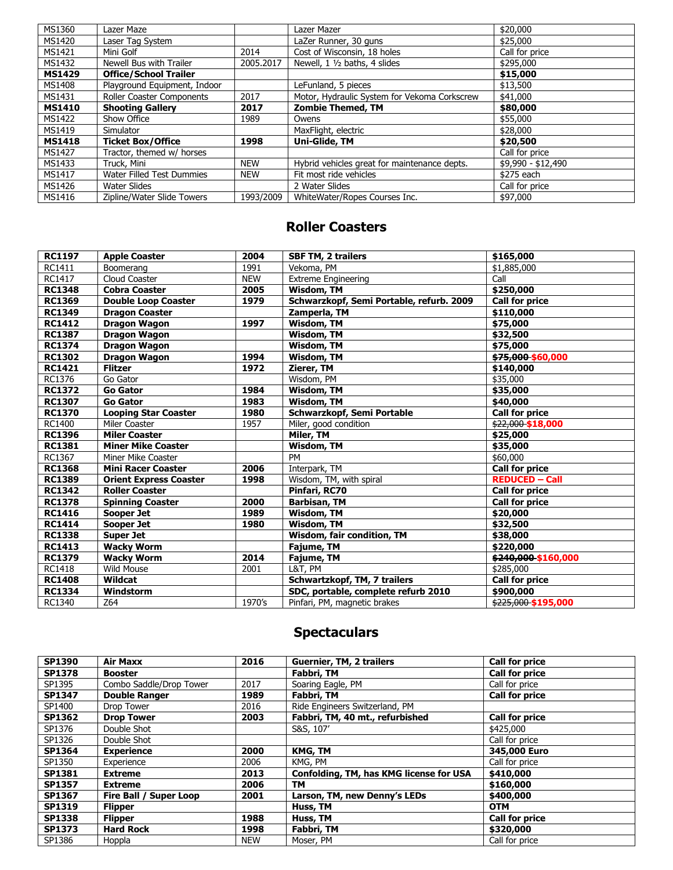| MS1360        | Lazer Maze                   |            | Lazer Mazer                                  | \$20,000           |
|---------------|------------------------------|------------|----------------------------------------------|--------------------|
| MS1420        | Laser Tag System             |            | LaZer Runner, 30 guns                        | \$25,000           |
| MS1421        | Mini Golf                    | 2014       | Cost of Wisconsin, 18 holes                  | Call for price     |
| MS1432        | Newell Bus with Trailer      | 2005.2017  | Newell, 1 1/2 baths, 4 slides                | \$295,000          |
| <b>MS1429</b> | <b>Office/School Trailer</b> |            |                                              | \$15,000           |
| MS1408        | Playground Equipment, Indoor |            | LeFunland, 5 pieces                          | \$13,500           |
| MS1431        | Roller Coaster Components    | 2017       | Motor, Hydraulic System for Vekoma Corkscrew | \$41,000           |
| <b>MS1410</b> | <b>Shooting Gallery</b>      | 2017       | <b>Zombie Themed, TM</b>                     | \$80,000           |
| MS1422        | Show Office                  | 1989       | Owens                                        | \$55,000           |
| MS1419        | Simulator                    |            | MaxFlight, electric                          | \$28,000           |
| <b>MS1418</b> | <b>Ticket Box/Office</b>     | 1998       | Uni-Glide, TM                                | \$20,500           |
| MS1427        | Tractor, themed w/ horses    |            |                                              | Call for price     |
| MS1433        | Truck, Mini                  | <b>NEW</b> | Hybrid vehicles great for maintenance depts. | \$9,990 - \$12,490 |
| MS1417        | Water Filled Test Dummies    | <b>NEW</b> | Fit most ride vehicles                       | \$275 each         |
| MS1426        | Water Slides                 |            | 2 Water Slides                               | Call for price     |
| MS1416        | Zipline/Water Slide Towers   | 1993/2009  | WhiteWater/Ropes Courses Inc.                | \$97,000           |

### **Roller Coasters**

| <b>RC1197</b> | <b>Apple Coaster</b>          | 2004        | <b>SBF TM, 2 trailers</b>                | \$165,000             |
|---------------|-------------------------------|-------------|------------------------------------------|-----------------------|
| RC1411        | Boomerang                     | 1991        | Vekoma, PM                               | \$1,885,000           |
| RC1417        | Cloud Coaster                 | <b>NEW</b>  | <b>Extreme Engineering</b>               | Call                  |
| <b>RC1348</b> | <b>Cobra Coaster</b>          | 2005        | Wisdom, TM                               | \$250,000             |
| <b>RC1369</b> | <b>Double Loop Coaster</b>    | 1979        | Schwarzkopf, Semi Portable, refurb. 2009 | <b>Call for price</b> |
| <b>RC1349</b> | <b>Dragon Coaster</b>         |             | Zamperla, TM                             | \$110,000             |
| <b>RC1412</b> | <b>Dragon Wagon</b>           | 1997        | Wisdom, TM                               | \$75,000              |
| <b>RC1387</b> | <b>Dragon Wagon</b>           |             | Wisdom, TM                               | \$32,500              |
| <b>RC1374</b> | <b>Dragon Wagon</b>           |             | Wisdom, TM                               | \$75,000              |
| <b>RC1302</b> | <b>Dragon Wagon</b>           | 1994        | Wisdom, TM                               | \$75,000 \$60,000     |
| <b>RC1421</b> | <b>Flitzer</b>                | 1972        | Zierer, TM                               | \$140,000             |
| RC1376        | Go Gator                      |             | Wisdom, PM                               | \$35,000              |
| <b>RC1372</b> | <b>Go Gator</b>               | 1984        | Wisdom, TM                               | \$35,000              |
| <b>RC1307</b> | <b>Go Gator</b>               | 1983        | Wisdom, TM                               | \$40,000              |
| <b>RC1370</b> | <b>Looping Star Coaster</b>   | 1980        | Schwarzkopf, Semi Portable               | <b>Call for price</b> |
| RC1400        | Miler Coaster                 | 1957        | Miler, good condition                    | \$22,000 \$18,000     |
| <b>RC1396</b> | <b>Miler Coaster</b>          |             | Miler, TM                                | \$25,000              |
| <b>RC1381</b> | <b>Miner Mike Coaster</b>     |             | Wisdom, TM                               | \$35,000              |
| RC1367        | Miner Mike Coaster            |             | <b>PM</b>                                | \$60,000              |
| <b>RC1368</b> | <b>Mini Racer Coaster</b>     | 2006        | Interpark, TM                            | <b>Call for price</b> |
| <b>RC1389</b> | <b>Orient Express Coaster</b> | <b>1998</b> | Wisdom, TM, with spiral                  | <b>REDUCED - Call</b> |
| <b>RC1342</b> | <b>Roller Coaster</b>         |             | Pinfari, RC70                            | <b>Call for price</b> |
| <b>RC1378</b> | <b>Spinning Coaster</b>       | 2000        | <b>Barbisan, TM</b>                      | <b>Call for price</b> |
| <b>RC1416</b> | Sooper Jet                    | 1989        | Wisdom, TM                               | \$20,000              |
| <b>RC1414</b> | Sooper Jet                    | 1980        | Wisdom, TM                               | \$32,500              |
| <b>RC1338</b> | <b>Super Jet</b>              |             | <b>Wisdom, fair condition, TM</b>        | \$38,000              |
| <b>RC1413</b> | <b>Wacky Worm</b>             |             | Fajume, TM                               | \$220,000             |
| <b>RC1379</b> | <b>Wacky Worm</b>             | 2014        | Fajume, TM                               | \$240,000 \$160,000   |
| RC1418        | <b>Wild Mouse</b>             | 2001        | L&T, PM                                  | \$285,000             |
| <b>RC1408</b> | Wildcat                       |             | Schwartzkopf, TM, 7 trailers             | <b>Call for price</b> |
| <b>RC1334</b> | Windstorm                     |             | SDC, portable, complete refurb 2010      | \$900,000             |
| RC1340        | Z64                           | 1970's      | Pinfari, PM, magnetic brakes             | \$225,000 \$195,000   |

# **Spectaculars**

| SP1390        | <b>Air Maxx</b>         | 2016       | Guernier, TM, 2 trailers                | <b>Call for price</b> |
|---------------|-------------------------|------------|-----------------------------------------|-----------------------|
| <b>SP1378</b> | <b>Booster</b>          |            | Fabbri, TM                              | <b>Call for price</b> |
| SP1395        | Combo Saddle/Drop Tower | 2017       | Soaring Eagle, PM                       | Call for price        |
| <b>SP1347</b> | <b>Double Ranger</b>    | 1989       | Fabbri, TM                              | <b>Call for price</b> |
| SP1400        | Drop Tower              | 2016       | Ride Engineers Switzerland, PM          |                       |
| SP1362        | <b>Drop Tower</b>       | 2003       | Fabbri, TM, 40 mt., refurbished         | <b>Call for price</b> |
| SP1376        | Double Shot             |            | S&S, 107'                               | \$425,000             |
| SP1326        | Double Shot             |            |                                         | Call for price        |
| SP1364        | <b>Experience</b>       | 2000       | <b>KMG, TM</b>                          | 345,000 Euro          |
| SP1350        | Experience              | 2006       | KMG, PM                                 | Call for price        |
| SP1381        | <b>Extreme</b>          | 2013       | Confolding, TM, has KMG license for USA | \$410,000             |
| <b>SP1357</b> | <b>Extreme</b>          | 2006       | TM                                      | \$160,000             |
| SP1367        | Fire Ball / Super Loop  | 2001       | Larson, TM, new Denny's LEDs            | \$400,000             |
| SP1319        | <b>Flipper</b>          |            | Huss, TM                                | <b>OTM</b>            |
| <b>SP1338</b> | <b>Flipper</b>          | 1988       | Huss, TM                                | <b>Call for price</b> |
| <b>SP1373</b> | <b>Hard Rock</b>        | 1998       | Fabbri, TM                              | \$320,000             |
| SP1386        | Hoppla                  | <b>NEW</b> | Moser, PM                               | Call for price        |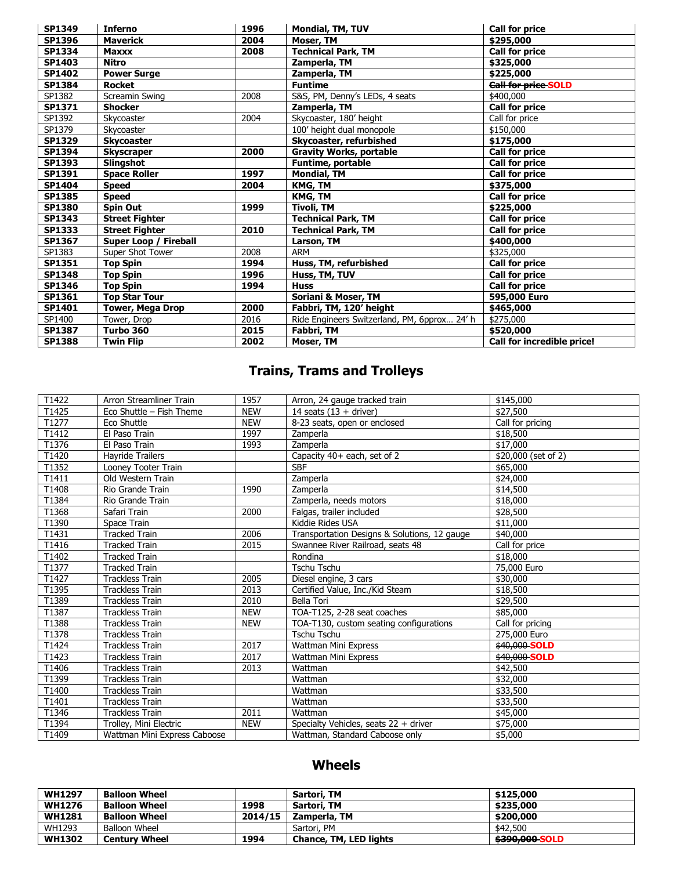| <b>SP1349</b> | <b>Inferno</b>               | 1996 | Mondial, TM, TUV                             | <b>Call for price</b>      |
|---------------|------------------------------|------|----------------------------------------------|----------------------------|
| SP1396        | <b>Maverick</b>              | 2004 | Moser, TM                                    | \$295,000                  |
| <b>SP1334</b> | <b>Maxxx</b>                 | 2008 | <b>Technical Park, TM</b>                    | <b>Call for price</b>      |
| SP1403        | <b>Nitro</b>                 |      | Zamperla, TM                                 | \$325,000                  |
| <b>SP1402</b> | <b>Power Surge</b>           |      | Zamperla, TM                                 | \$225,000                  |
| <b>SP1384</b> | <b>Rocket</b>                |      | <b>Funtime</b>                               | <b>Call for price SOLD</b> |
| SP1382        | Screamin Swing               | 2008 | S&S, PM, Denny's LEDs, 4 seats               | \$400,000                  |
| SP1371        | <b>Shocker</b>               |      | Zamperla, TM                                 | <b>Call for price</b>      |
| SP1392        | Skycoaster                   | 2004 | Skycoaster, 180' height                      | Call for price             |
| SP1379        | Skycoaster                   |      | 100' height dual monopole                    | \$150,000                  |
| <b>SP1329</b> | <b>Skycoaster</b>            |      | Skycoaster, refurbished                      | \$175,000                  |
| SP1394        | <b>Skyscraper</b>            | 2000 | <b>Gravity Works, portable</b>               | <b>Call for price</b>      |
| SP1393        | Slingshot                    |      | Funtime, portable                            | <b>Call for price</b>      |
| SP1391        | <b>Space Roller</b>          | 1997 | <b>Mondial, TM</b>                           | <b>Call for price</b>      |
| <b>SP1404</b> | <b>Speed</b>                 | 2004 | KMG, TM                                      | \$375,000                  |
| <b>SP1385</b> | <b>Speed</b>                 |      | KMG, TM                                      | <b>Call for price</b>      |
| <b>SP1380</b> | Spin Out                     | 1999 | Tivoli, TM                                   | \$225,000                  |
| <b>SP1343</b> | <b>Street Fighter</b>        |      | <b>Technical Park, TM</b>                    | <b>Call for price</b>      |
| <b>SP1333</b> | <b>Street Fighter</b>        | 2010 | <b>Technical Park, TM</b>                    | <b>Call for price</b>      |
| SP1367        | <b>Super Loop / Fireball</b> |      | Larson, TM                                   | \$400,000                  |
| SP1383        | Super Shot Tower             | 2008 | ARM                                          | \$325,000                  |
| SP1351        | <b>Top Spin</b>              | 1994 | Huss, TM, refurbished                        | <b>Call for price</b>      |
| <b>SP1348</b> | <b>Top Spin</b>              | 1996 | Huss, TM, TUV                                | <b>Call for price</b>      |
| SP1346        | <b>Top Spin</b>              | 1994 | <b>Huss</b>                                  | <b>Call for price</b>      |
| SP1361        | <b>Top Star Tour</b>         |      | Soriani & Moser, TM                          | 595,000 Euro               |
| SP1401        | Tower, Mega Drop             | 2000 | Fabbri, TM, 120' height                      | \$465,000                  |
| SP1400        | Tower, Drop                  | 2016 | Ride Engineers Switzerland, PM, 6pprox 24' h | \$275,000                  |
| <b>SP1387</b> | Turbo 360                    | 2015 | Fabbri, TM                                   | \$520,000                  |
| <b>SP1388</b> | <b>Twin Flip</b>             | 2002 | Moser, TM                                    | Call for incredible price! |

# **Trains, Trams and Trolleys**

| T1422 | Arron Streamliner Train      | 1957       | Arron, 24 gauge tracked train                | \$145,000                |
|-------|------------------------------|------------|----------------------------------------------|--------------------------|
| T1425 | Eco Shuttle - Fish Theme     | <b>NEW</b> | 14 seats $(13 +$ driver)                     | \$27,500                 |
| T1277 | Eco Shuttle                  | <b>NEW</b> | 8-23 seats, open or enclosed                 | Call for pricing         |
| T1412 | El Paso Train                | 1997       | Zamperla                                     | \$18,500                 |
| T1376 | El Paso Train                | 1993       | Zamperla                                     | \$17,000                 |
| T1420 | <b>Havride Trailers</b>      |            | Capacity 40+ each, set of 2                  | \$20,000 (set of 2)      |
| T1352 | Looney Tooter Train          |            | <b>SBF</b>                                   | \$65,000                 |
| T1411 | Old Western Train            |            | Zamperla                                     | \$24,000                 |
| T1408 | Rio Grande Train             | 1990       | Zamperla                                     | \$14,500                 |
| T1384 | Rio Grande Train             |            | Zamperla, needs motors                       | \$18,000                 |
| T1368 | Safari Train                 | 2000       | Falgas, trailer included                     | \$28,500                 |
| T1390 | Space Train                  |            | Kiddie Rides USA                             | \$11,000                 |
| T1431 | <b>Tracked Train</b>         | 2006       | Transportation Designs & Solutions, 12 gauge | \$40,000                 |
| T1416 | <b>Tracked Train</b>         | 2015       | Swannee River Railroad, seats 48             | Call for price           |
| T1402 | <b>Tracked Train</b>         |            | Rondina                                      | \$18,000                 |
| T1377 | <b>Tracked Train</b>         |            | Tschu Tschu                                  | 75,000 Euro              |
| T1427 | <b>Trackless Train</b>       | 2005       | Diesel engine, 3 cars                        | \$30,000                 |
| T1395 | <b>Trackless Train</b>       | 2013       | Certified Value, Inc./Kid Steam              | \$18,500                 |
| T1389 | <b>Trackless Train</b>       | 2010       | Bella Tori                                   | \$29,500                 |
| T1387 | <b>Trackless Train</b>       | <b>NEW</b> | TOA-T125, 2-28 seat coaches                  | \$85,000                 |
| T1388 | <b>Trackless Train</b>       | <b>NEW</b> | TOA-T130, custom seating configurations      | Call for pricing         |
| T1378 | <b>Trackless Train</b>       |            | Tschu Tschu                                  | 275,000 Euro             |
| T1424 | <b>Trackless Train</b>       | 2017       | Wattman Mini Express                         | $\frac{1}{1}40,000$ SOLD |
| T1423 | <b>Trackless Train</b>       | 2017       | Wattman Mini Express                         | \$40,000 SOLD            |
| T1406 | <b>Trackless Train</b>       | 2013       | Wattman                                      | \$42,500                 |
| T1399 | <b>Trackless Train</b>       |            | Wattman                                      | \$32,000                 |
| T1400 | <b>Trackless Train</b>       |            | Wattman                                      | \$33,500                 |
| T1401 | <b>Trackless Train</b>       |            | Wattman                                      | \$33,500                 |
| T1346 | <b>Trackless Train</b>       | 2011       | Wattman                                      | \$45,000                 |
| T1394 | Trolley, Mini Electric       | <b>NEW</b> | Specialty Vehicles, seats 22 + driver        | \$75,000                 |
| T1409 | Wattman Mini Express Caboose |            | Wattman, Standard Caboose only               | \$5,000                  |

# **Wheels**

| <b>WH1297</b> | <b>Balloon Wheel</b> |         | Sartori, TM                   | \$125,000      |
|---------------|----------------------|---------|-------------------------------|----------------|
| <b>WH1276</b> | <b>Balloon Wheel</b> | 1998    | Sartori, TM                   | \$235.000      |
| <b>WH1281</b> | <b>Balloon Wheel</b> | 2014/15 | Zamperla, TM                  | \$200,000      |
| WH1293        | Balloon Wheel        |         | Sartori, PM                   | \$42,500       |
| <b>WH1302</b> | <b>Century Wheel</b> | 1994    | <b>Chance, TM, LED lights</b> | \$390,000 SOLD |